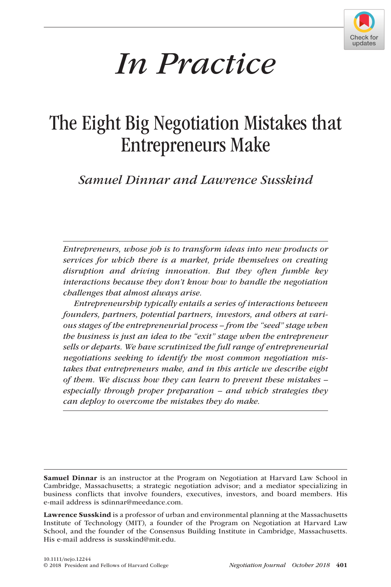

# *In Practice*

# The Eight Big Negotiation Mistakes that Entrepreneurs Make

*Samuel Dinnar and Lawrence Susskind*

*Entrepreneurs, whose job is to transform ideas into new products or services for which there is a market, pride themselves on creating disruption and driving innovation. But they often fumble key interactions because they don't know how to handle the negotiation challenges that almost always arise.*

*Entrepreneurship typically entails a series of interactions between founders, partners, potential partners, investors, and others at various stages of the entrepreneurial process – from the "seed" stage when the business is just an idea to the "exit" stage when the entrepreneur sells or departs. We have scrutinized the full range of entrepreneurial negotiations seeking to identify the most common negotiation mistakes that entrepreneurs make, and in this article we describe eight of them. We discuss how they can learn to prevent these mistakes – especially through proper preparation – and which strategies they can deploy to overcome the mistakes they do make.*

Samuel Dinnar is an instructor at the Program on Negotiation at Harvard Law School in Cambridge, Massachusetts; a strategic negotiation advisor; and a mediator specializing in business conflicts that involve founders, executives, investors, and board members. His e-mail address is [sdinnar@meedance.com.](mailto:sdinnar@meedance.com)

Lawrence Susskind is a professor of urban and environmental planning at the Massachusetts Institute of Technology (MIT), a founder of the Program on Negotiation at Harvard Law School, and the founder of the Consensus Building Institute in Cambridge, Massachusetts. His e-mail address is [susskind@mit.edu](mailto:susskind@mit.edu).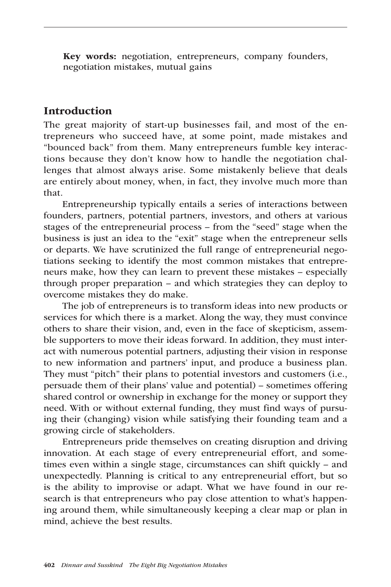Key words: negotiation, entrepreneurs, company founders, negotiation mistakes, mutual gains

# **Introduction**

The great majority of start-up businesses fail, and most of the entrepreneurs who succeed have, at some point, made mistakes and "bounced back" from them. Many entrepreneurs fumble key interactions because they don't know how to handle the negotiation challenges that almost always arise. Some mistakenly believe that deals are entirely about money, when, in fact, they involve much more than that.

Entrepreneurship typically entails a series of interactions between founders, partners, potential partners, investors, and others at various stages of the entrepreneurial process – from the "seed" stage when the business is just an idea to the "exit" stage when the entrepreneur sells or departs. We have scrutinized the full range of entrepreneurial negotiations seeking to identify the most common mistakes that entrepreneurs make, how they can learn to prevent these mistakes – especially through proper preparation – and which strategies they can deploy to overcome mistakes they do make.

The job of entrepreneurs is to transform ideas into new products or services for which there is a market. Along the way, they must convince others to share their vision, and, even in the face of skepticism, assemble supporters to move their ideas forward. In addition, they must interact with numerous potential partners, adjusting their vision in response to new information and partners' input, and produce a business plan. They must "pitch" their plans to potential investors and customers (i.e., persuade them of their plans' value and potential) – sometimes offering shared control or ownership in exchange for the money or support they need. With or without external funding, they must find ways of pursuing their (changing) vision while satisfying their founding team and a growing circle of stakeholders.

Entrepreneurs pride themselves on creating disruption and driving innovation. At each stage of every entrepreneurial effort, and sometimes even within a single stage, circumstances can shift quickly – and unexpectedly. Planning is critical to any entrepreneurial effort, but so is the ability to improvise or adapt. What we have found in our research is that entrepreneurs who pay close attention to what's happening around them, while simultaneously keeping a clear map or plan in mind, achieve the best results.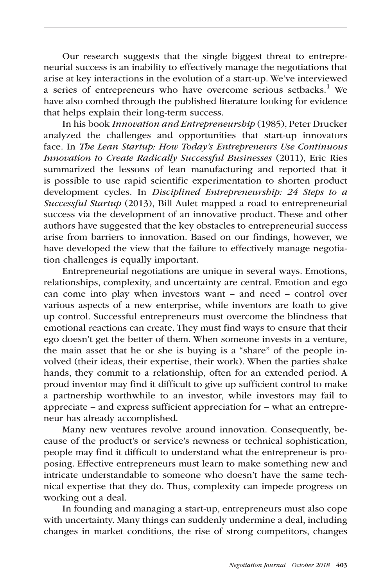Our research suggests that the single biggest threat to entrepreneurial success is an inability to effectively manage the negotiations that arise at key interactions in the evolution of a start-up. We've interviewed a series of entrepreneurs who have overcome serious setbacks.<sup>1</sup> We have also combed through the published literature looking for evidence that helps explain their long-term success.

In his book *Innovation and Entrepreneurship* (1985), Peter Drucker analyzed the challenges and opportunities that start-up innovators face. In *The Lean Startup: How Today's Entrepreneurs Use Continuous Innovation to Create Radically Successful Businesses* (2011), Eric Ries summarized the lessons of lean manufacturing and reported that it is possible to use rapid scientific experimentation to shorten product development cycles. In *Disciplined Entrepreneurship: 24 Steps to a Successful Startup* (2013), Bill Aulet mapped a road to entrepreneurial success via the development of an innovative product. These and other authors have suggested that the key obstacles to entrepreneurial success arise from barriers to innovation. Based on our findings, however, we have developed the view that the failure to effectively manage negotiation challenges is equally important.

Entrepreneurial negotiations are unique in several ways. Emotions, relationships, complexity, and uncertainty are central. Emotion and ego can come into play when investors want – and need – control over various aspects of a new enterprise, while inventors are loath to give up control. Successful entrepreneurs must overcome the blindness that emotional reactions can create. They must find ways to ensure that their ego doesn't get the better of them. When someone invests in a venture, the main asset that he or she is buying is a "share" of the people involved (their ideas, their expertise, their work). When the parties shake hands, they commit to a relationship, often for an extended period. A proud inventor may find it difficult to give up sufficient control to make a partnership worthwhile to an investor, while investors may fail to appreciate – and express sufficient appreciation for – what an entrepreneur has already accomplished.

Many new ventures revolve around innovation. Consequently, because of the product's or service's newness or technical sophistication, people may find it difficult to understand what the entrepreneur is proposing. Effective entrepreneurs must learn to make something new and intricate understandable to someone who doesn't have the same technical expertise that they do. Thus, complexity can impede progress on working out a deal.

In founding and managing a start-up, entrepreneurs must also cope with uncertainty. Many things can suddenly undermine a deal, including changes in market conditions, the rise of strong competitors, changes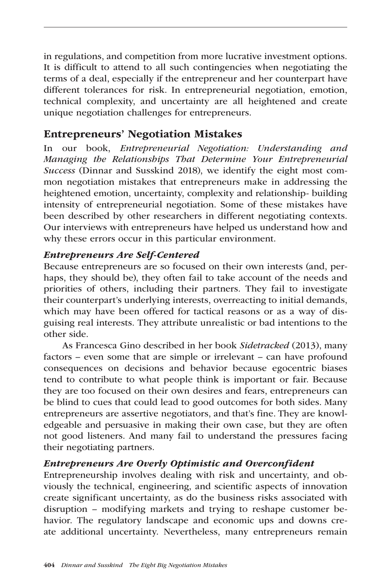in regulations, and competition from more lucrative investment options. It is difficult to attend to all such contingencies when negotiating the terms of a deal, especially if the entrepreneur and her counterpart have different tolerances for risk. In entrepreneurial negotiation, emotion, technical complexity, and uncertainty are all heightened and create unique negotiation challenges for entrepreneurs.

# Entrepreneurs' Negotiation Mistakes

In our book, *Entrepreneurial Negotiation: Understanding and Managing the Relationships That Determine Your Entrepreneurial Success* (Dinnar and Susskind 2018), we identify the eight most common negotiation mistakes that entrepreneurs make in addressing the heightened emotion, uncertainty, complexity and relationship- building intensity of entrepreneurial negotiation. Some of these mistakes have been described by other researchers in different negotiating contexts. Our interviews with entrepreneurs have helped us understand how and why these errors occur in this particular environment.

## *Entrepreneurs Are Self-Centered*

Because entrepreneurs are so focused on their own interests (and, perhaps, they should be), they often fail to take account of the needs and priorities of others, including their partners. They fail to investigate their counterpart's underlying interests, overreacting to initial demands, which may have been offered for tactical reasons or as a way of disguising real interests. They attribute unrealistic or bad intentions to the other side.

As Francesca Gino described in her book *Sidetracked* (2013), many factors – even some that are simple or irrelevant – can have profound consequences on decisions and behavior because egocentric biases tend to contribute to what people think is important or fair. Because they are too focused on their own desires and fears, entrepreneurs can be blind to cues that could lead to good outcomes for both sides. Many entrepreneurs are assertive negotiators, and that's fine. They are knowledgeable and persuasive in making their own case, but they are often not good listeners. And many fail to understand the pressures facing their negotiating partners.

# *Entrepreneurs Are Overly Optimistic and Overconfident*

Entrepreneurship involves dealing with risk and uncertainty, and obviously the technical, engineering, and scientific aspects of innovation create significant uncertainty, as do the business risks associated with disruption – modifying markets and trying to reshape customer behavior. The regulatory landscape and economic ups and downs create additional uncertainty. Nevertheless, many entrepreneurs remain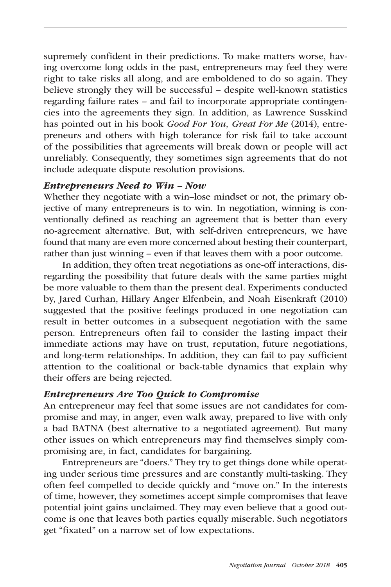supremely confident in their predictions. To make matters worse, having overcome long odds in the past, entrepreneurs may feel they were right to take risks all along, and are emboldened to do so again. They believe strongly they will be successful – despite well-known statistics regarding failure rates – and fail to incorporate appropriate contingencies into the agreements they sign. In addition, as Lawrence Susskind has pointed out in his book *Good For You, Great For Me* (2014), entrepreneurs and others with high tolerance for risk fail to take account of the possibilities that agreements will break down or people will act unreliably. Consequently, they sometimes sign agreements that do not include adequate dispute resolution provisions.

#### *Entrepreneurs Need to Win – Now*

Whether they negotiate with a win–lose mindset or not, the primary objective of many entrepreneurs is to win. In negotiation, winning is conventionally defined as reaching an agreement that is better than every no-agreement alternative. But, with self-driven entrepreneurs, we have found that many are even more concerned about besting their counterpart, rather than just winning – even if that leaves them with a poor outcome.

In addition, they often treat negotiations as one-off interactions, disregarding the possibility that future deals with the same parties might be more valuable to them than the present deal. Experiments conducted by, Jared Curhan, Hillary Anger Elfenbein, and Noah Eisenkraft (2010) suggested that the positive feelings produced in one negotiation can result in better outcomes in a subsequent negotiation with the same person. Entrepreneurs often fail to consider the lasting impact their immediate actions may have on trust, reputation, future negotiations, and long-term relationships. In addition, they can fail to pay sufficient attention to the coalitional or back-table dynamics that explain why their offers are being rejected.

### *Entrepreneurs Are Too Quick to Compromise*

An entrepreneur may feel that some issues are not candidates for compromise and may, in anger, even walk away, prepared to live with only a bad BATNA (best alternative to a negotiated agreement). But many other issues on which entrepreneurs may find themselves simply compromising are, in fact, candidates for bargaining.

Entrepreneurs are "doers." They try to get things done while operating under serious time pressures and are constantly multi-tasking. They often feel compelled to decide quickly and "move on." In the interests of time, however, they sometimes accept simple compromises that leave potential joint gains unclaimed. They may even believe that a good outcome is one that leaves both parties equally miserable. Such negotiators get "fixated" on a narrow set of low expectations.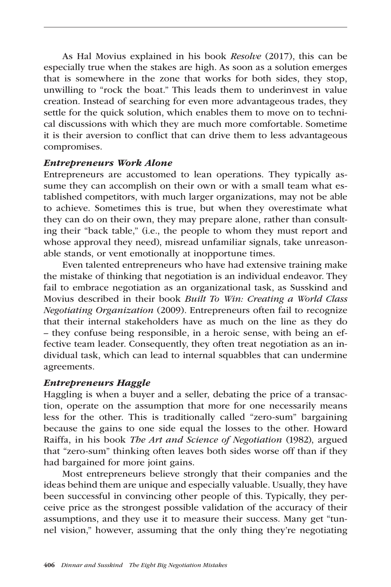As Hal Movius explained in his book *Resolve* (2017), this can be especially true when the stakes are high. As soon as a solution emerges that is somewhere in the zone that works for both sides, they stop, unwilling to "rock the boat." This leads them to underinvest in value creation. Instead of searching for even more advantageous trades, they settle for the quick solution, which enables them to move on to technical discussions with which they are much more comfortable. Sometime it is their aversion to conflict that can drive them to less advantageous compromises.

#### *Entrepreneurs Work Alone*

Entrepreneurs are accustomed to lean operations. They typically assume they can accomplish on their own or with a small team what established competitors, with much larger organizations, may not be able to achieve. Sometimes this is true, but when they overestimate what they can do on their own, they may prepare alone, rather than consulting their "back table," (i.e., the people to whom they must report and whose approval they need), misread unfamiliar signals, take unreasonable stands, or vent emotionally at inopportune times.

Even talented entrepreneurs who have had extensive training make the mistake of thinking that negotiation is an individual endeavor. They fail to embrace negotiation as an organizational task, as Susskind and Movius described in their book *Built To Win: Creating a World Class Negotiating Organization* (2009). Entrepreneurs often fail to recognize that their internal stakeholders have as much on the line as they do – they confuse being responsible, in a heroic sense, with being an effective team leader. Consequently, they often treat negotiation as an individual task, which can lead to internal squabbles that can undermine agreements.

#### *Entrepreneurs Haggle*

Haggling is when a buyer and a seller, debating the price of a transaction, operate on the assumption that more for one necessarily means less for the other. This is traditionally called "zero-sum" bargaining because the gains to one side equal the losses to the other. Howard Raiffa, in his book *The Art and Science of Negotiation* (1982), argued that "zero-sum" thinking often leaves both sides worse off than if they had bargained for more joint gains.

Most entrepreneurs believe strongly that their companies and the ideas behind them are unique and especially valuable. Usually, they have been successful in convincing other people of this. Typically, they perceive price as the strongest possible validation of the accuracy of their assumptions, and they use it to measure their success. Many get "tunnel vision," however, assuming that the only thing they're negotiating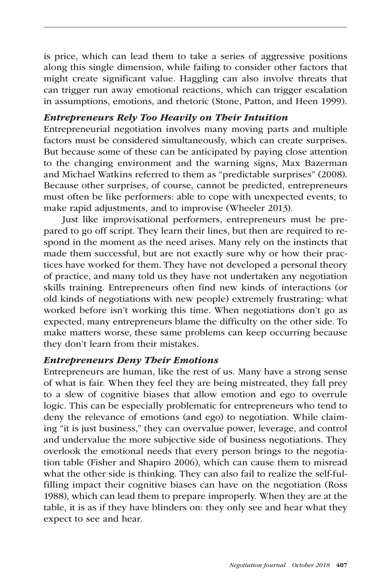is price, which can lead them to take a series of aggressive positions along this single dimension, while failing to consider other factors that might create significant value. Haggling can also involve threats that can trigger run away emotional reactions, which can trigger escalation in assumptions, emotions, and rhetoric (Stone, Patton, and Heen 1999).

#### *Entrepreneurs Rely Too Heavily on Their Intuition*

Entrepreneurial negotiation involves many moving parts and multiple factors must be considered simultaneously, which can create surprises. But because some of these can be anticipated by paying close attention to the changing environment and the warning signs, Max Bazerman and Michael Watkins referred to them as "predictable surprises" (2008). Because other surprises, of course, cannot be predicted, entrepreneurs must often be like performers: able to cope with unexpected events, to make rapid adjustments, and to improvise (Wheeler 2013).

Just like improvisational performers, entrepreneurs must be prepared to go off script. They learn their lines, but then are required to respond in the moment as the need arises. Many rely on the instincts that made them successful, but are not exactly sure why or how their practices have worked for them. They have not developed a personal theory of practice, and many told us they have not undertaken any negotiation skills training. Entrepreneurs often find new kinds of interactions (or old kinds of negotiations with new people) extremely frustrating: what worked before isn't working this time. When negotiations don't go as expected, many entrepreneurs blame the difficulty on the other side. To make matters worse, these same problems can keep occurring because they don't learn from their mistakes.

#### *Entrepreneurs Deny Their Emotions*

Entrepreneurs are human, like the rest of us. Many have a strong sense of what is fair. When they feel they are being mistreated, they fall prey to a slew of cognitive biases that allow emotion and ego to overrule logic. This can be especially problematic for entrepreneurs who tend to deny the relevance of emotions (and ego) to negotiation. While claiming "it is just business," they can overvalue power, leverage, and control and undervalue the more subjective side of business negotiations. They overlook the emotional needs that every person brings to the negotiation table (Fisher and Shapiro 2006), which can cause them to misread what the other side is thinking. They can also fail to realize the self-fulfilling impact their cognitive biases can have on the negotiation (Ross 1988), which can lead them to prepare improperly. When they are at the table, it is as if they have blinders on: they only see and hear what they expect to see and hear.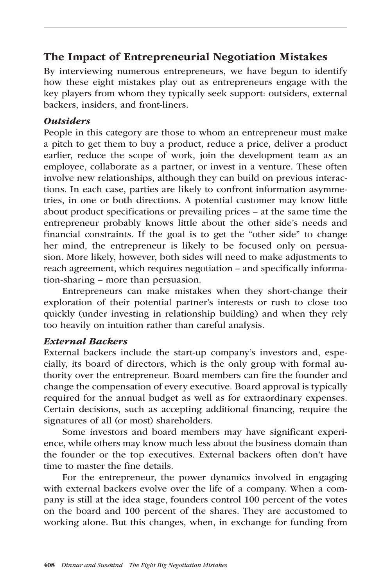# The Impact of Entrepreneurial Negotiation Mistakes

By interviewing numerous entrepreneurs, we have begun to identify how these eight mistakes play out as entrepreneurs engage with the key players from whom they typically seek support: outsiders, external backers, insiders, and front-liners.

#### *Outsiders*

People in this category are those to whom an entrepreneur must make a pitch to get them to buy a product, reduce a price, deliver a product earlier, reduce the scope of work, join the development team as an employee, collaborate as a partner, or invest in a venture. These often involve new relationships, although they can build on previous interactions. In each case, parties are likely to confront information asymmetries, in one or both directions. A potential customer may know little about product specifications or prevailing prices – at the same time the entrepreneur probably knows little about the other side's needs and financial constraints. If the goal is to get the "other side" to change her mind, the entrepreneur is likely to be focused only on persuasion. More likely, however, both sides will need to make adjustments to reach agreement, which requires negotiation – and specifically information-sharing – more than persuasion.

Entrepreneurs can make mistakes when they short-change their exploration of their potential partner's interests or rush to close too quickly (under investing in relationship building) and when they rely too heavily on intuition rather than careful analysis.

#### *External Backers*

External backers include the start-up company's investors and, especially, its board of directors, which is the only group with formal authority over the entrepreneur. Board members can fire the founder and change the compensation of every executive. Board approval is typically required for the annual budget as well as for extraordinary expenses. Certain decisions, such as accepting additional financing, require the signatures of all (or most) shareholders.

Some investors and board members may have significant experience, while others may know much less about the business domain than the founder or the top executives. External backers often don't have time to master the fine details.

For the entrepreneur, the power dynamics involved in engaging with external backers evolve over the life of a company. When a company is still at the idea stage, founders control 100 percent of the votes on the board and 100 percent of the shares. They are accustomed to working alone. But this changes, when, in exchange for funding from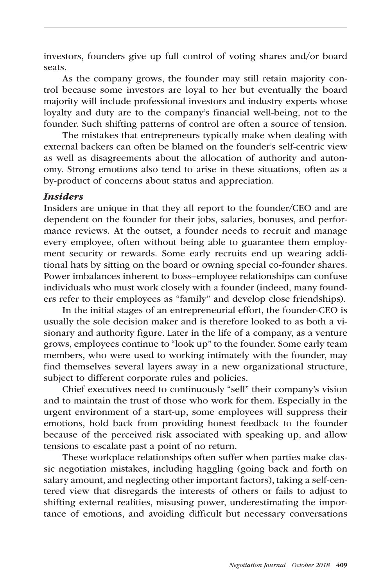investors, founders give up full control of voting shares and/or board seats.

As the company grows, the founder may still retain majority control because some investors are loyal to her but eventually the board majority will include professional investors and industry experts whose loyalty and duty are to the company's financial well-being, not to the founder. Such shifting patterns of control are often a source of tension.

The mistakes that entrepreneurs typically make when dealing with external backers can often be blamed on the founder's self-centric view as well as disagreements about the allocation of authority and autonomy. Strong emotions also tend to arise in these situations, often as a by-product of concerns about status and appreciation.

#### *Insiders*

Insiders are unique in that they all report to the founder/CEO and are dependent on the founder for their jobs, salaries, bonuses, and performance reviews. At the outset, a founder needs to recruit and manage every employee, often without being able to guarantee them employment security or rewards. Some early recruits end up wearing additional hats by sitting on the board or owning special co-founder shares. Power imbalances inherent to boss–employee relationships can confuse individuals who must work closely with a founder (indeed, many founders refer to their employees as "family" and develop close friendships).

In the initial stages of an entrepreneurial effort, the founder-CEO is usually the sole decision maker and is therefore looked to as both a visionary and authority figure. Later in the life of a company, as a venture grows, employees continue to "look up" to the founder. Some early team members, who were used to working intimately with the founder, may find themselves several layers away in a new organizational structure, subject to different corporate rules and policies.

Chief executives need to continuously "sell" their company's vision and to maintain the trust of those who work for them. Especially in the urgent environment of a start-up, some employees will suppress their emotions, hold back from providing honest feedback to the founder because of the perceived risk associated with speaking up, and allow tensions to escalate past a point of no return.

These workplace relationships often suffer when parties make classic negotiation mistakes, including haggling (going back and forth on salary amount, and neglecting other important factors), taking a self-centered view that disregards the interests of others or fails to adjust to shifting external realities, misusing power, underestimating the importance of emotions, and avoiding difficult but necessary conversations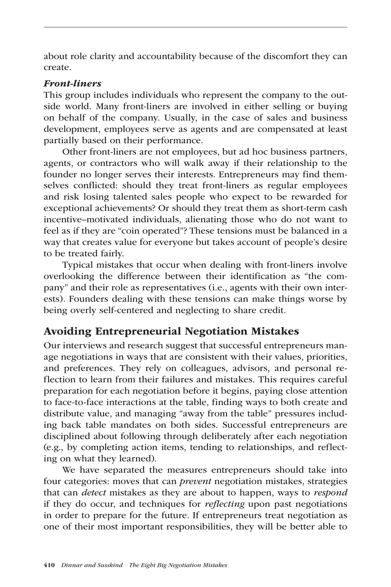about role clarity and accountability because of the discomfort they can create.

#### *Front-liners*

This group includes individuals who represent the company to the outside world. Many front-liners are involved in either selling or buying on behalf of the company. Usually, in the case of sales and business development, employees serve as agents and are compensated at least partially based on their performance.

Other front-liners are not employees, but ad hoc business partners, agents, or contractors who will walk away if their relationship to the founder no longer serves their interests. Entrepreneurs may find themselves conflicted: should they treat front-liners as regular employees and risk losing talented sales people who expect to be rewarded for exceptional achievements? Or should they treat them as short-term cash incentive–motivated individuals, alienating those who do not want to feel as if they are "coin operated"? These tensions must be balanced in a way that creates value for everyone but takes account of people's desire to be treated fairly.

Typical mistakes that occur when dealing with front-liners involve overlooking the difference between their identification as "the company" and their role as representatives (i.e., agents with their own interests). Founders dealing with these tensions can make things worse by being overly self-centered and neglecting to share credit.

# Avoiding Entrepreneurial Negotiation Mistakes

Our interviews and research suggest that successful entrepreneurs manage negotiations in ways that are consistent with their values, priorities, and preferences. They rely on colleagues, advisors, and personal reflection to learn from their failures and mistakes. This requires careful preparation for each negotiation before it begins, paying close attention to face-to-face interactions at the table, finding ways to both create and distribute value, and managing "away from the table" pressures including back table mandates on both sides. Successful entrepreneurs are disciplined about following through deliberately after each negotiation (e.g., by completing action items, tending to relationships, and reflecting on what they learned).

We have separated the measures entrepreneurs should take into four categories: moves that can *prevent* negotiation mistakes, strategies that can *detect* mistakes as they are about to happen, ways to *respond* if they do occur, and techniques for *reflecting* upon past negotiations in order to prepare for the future. If entrepreneurs treat negotiation as one of their most important responsibilities, they will be better able to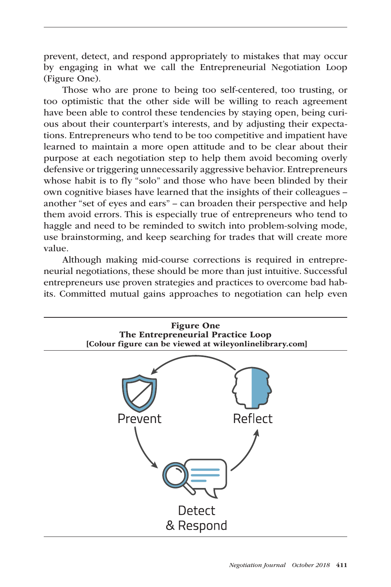prevent, detect, and respond appropriately to mistakes that may occur by engaging in what we call the Entrepreneurial Negotiation Loop (Figure One).

Those who are prone to being too self-centered, too trusting, or too optimistic that the other side will be willing to reach agreement have been able to control these tendencies by staying open, being curious about their counterpart's interests, and by adjusting their expectations. Entrepreneurs who tend to be too competitive and impatient have learned to maintain a more open attitude and to be clear about their purpose at each negotiation step to help them avoid becoming overly defensive or triggering unnecessarily aggressive behavior. Entrepreneurs whose habit is to fly "solo" and those who have been blinded by their own cognitive biases have learned that the insights of their colleagues – another "set of eyes and ears" – can broaden their perspective and help them avoid errors. This is especially true of entrepreneurs who tend to haggle and need to be reminded to switch into problem-solving mode, use brainstorming, and keep searching for trades that will create more value.

Although making mid-course corrections is required in entrepreneurial negotiations, these should be more than just intuitive. Successful entrepreneurs use proven strategies and practices to overcome bad habits. Committed mutual gains approaches to negotiation can help even

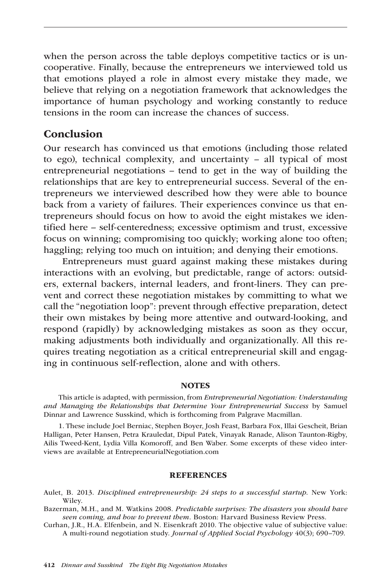when the person across the table deploys competitive tactics or is uncooperative. Finally, because the entrepreneurs we interviewed told us that emotions played a role in almost every mistake they made, we believe that relying on a negotiation framework that acknowledges the importance of human psychology and working constantly to reduce tensions in the room can increase the chances of success.

# **Conclusion**

Our research has convinced us that emotions (including those related to ego), technical complexity, and uncertainty – all typical of most entrepreneurial negotiations – tend to get in the way of building the relationships that are key to entrepreneurial success. Several of the entrepreneurs we interviewed described how they were able to bounce back from a variety of failures. Their experiences convince us that entrepreneurs should focus on how to avoid the eight mistakes we identified here – self-centeredness; excessive optimism and trust, excessive focus on winning; compromising too quickly; working alone too often; haggling; relying too much on intuition; and denying their emotions.

Entrepreneurs must guard against making these mistakes during interactions with an evolving, but predictable, range of actors: outsiders, external backers, internal leaders, and front-liners. They can prevent and correct these negotiation mistakes by committing to what we call the "negotiation loop": prevent through effective preparation, detect their own mistakes by being more attentive and outward-looking, and respond (rapidly) by acknowledging mistakes as soon as they occur, making adjustments both individually and organizationally. All this requires treating negotiation as a critical entrepreneurial skill and engaging in continuous self-reflection, alone and with others.

#### NOTES

This article is adapted, with permission, from *Entrepreneurial Negotiation: Understanding and Managing the Relationships that Determine Your Entrepreneurial Success* by Samuel Dinnar and Lawrence Susskind, which is forthcoming from Palgrave Macmillan.

1. These include Joel Berniac, Stephen Boyer, Josh Feast, Barbara Fox, Illai Gescheit, Brian Halligan, Peter Hansen, Petra Krauledat, Dipul Patek, Vinayak Ranade, Alison Taunton-Rigby, Ailis Tweed-Kent, Lydia Villa Komoroff, and Ben Waber. Some excerpts of these video interviews are available at EntrepreneurialNegotiation.com

#### REFERENCES

Aulet, B. 2013. *Disciplined entrepreneurship: 24 steps to a successful startup*. New York: Wiley.

Bazerman, M.H., and M. Watkins 2008. *Predictable surprises: The disasters you should have seen coming, and how to prevent them*. Boston: Harvard Business Review Press.

Curhan, J.R., H.A. Elfenbein, and N. Eisenkraft 2010. The objective value of subjective value: A multi-round negotiation study. *Journal of Applied Social Psychology* 40(3); 690–709.